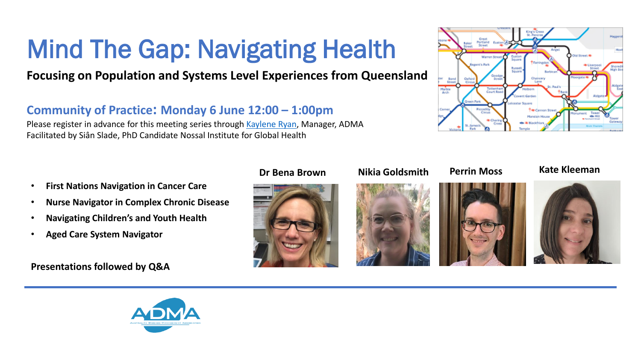# Mind The Gap: Navigating Health

# **Focusing on Population and Systems Level Experiences from Queensland**

## **Community of Practice: Monday 6 June 12:00 – 1:00pm**

Please register in advance for this meeting series through [Kaylene](http://k.fiddes@alfred.org.au) [Ryan](http://k.fiddes@alfred.org.au), Manager, ADMA Facilitated by Siân Slade, PhD Candidate Nossal Institute for Global Health